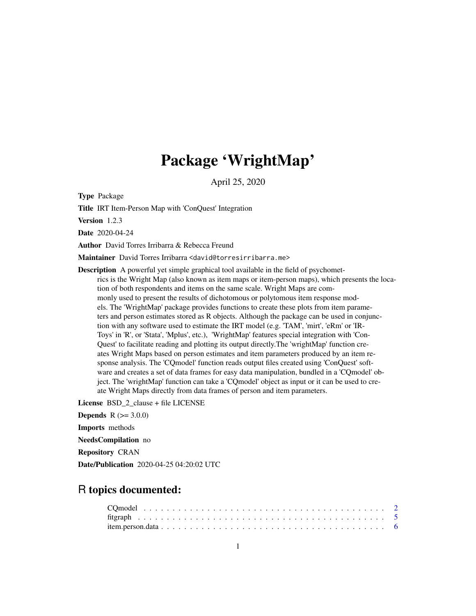## Package 'WrightMap'

April 25, 2020

<span id="page-0-0"></span>Type Package

Title IRT Item-Person Map with 'ConQuest' Integration

Version 1.2.3

Date 2020-04-24

Author David Torres Irribarra & Rebecca Freund

Maintainer David Torres Irribarra <david@torresirribarra.me>

Description A powerful yet simple graphical tool available in the field of psychometrics is the Wright Map (also known as item maps or item-person maps), which presents the location of both respondents and items on the same scale. Wright Maps are commonly used to present the results of dichotomous or polytomous item response models. The 'WrightMap' package provides functions to create these plots from item parameters and person estimates stored as R objects. Although the package can be used in conjunction with any software used to estimate the IRT model (e.g. 'TAM', 'mirt', 'eRm' or 'IR-Toys' in 'R', or 'Stata', 'Mplus', etc.), 'WrightMap' features special integration with 'Con-Quest' to facilitate reading and plotting its output directly.The 'wrightMap' function creates Wright Maps based on person estimates and item parameters produced by an item response analysis. The 'CQmodel' function reads output files created using 'ConQuest' software and creates a set of data frames for easy data manipulation, bundled in a 'CQmodel' object. The 'wrightMap' function can take a 'CQmodel' object as input or it can be used to create Wright Maps directly from data frames of person and item parameters.

License BSD 2 clause + file LICENSE

**Depends**  $R (= 3.0.0)$ Imports methods NeedsCompilation no

Repository CRAN

Date/Publication 2020-04-25 04:20:02 UTC

### R topics documented: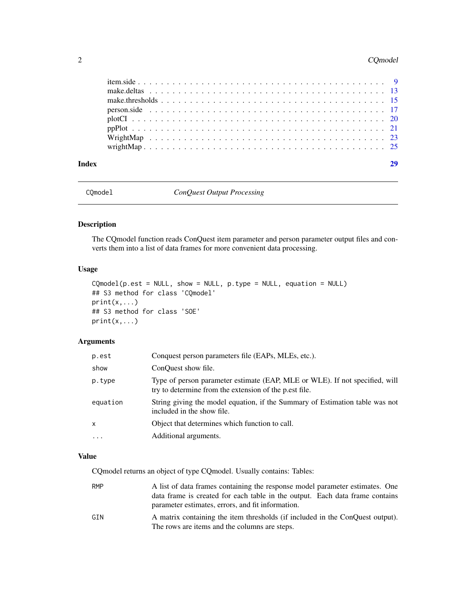#### <span id="page-1-0"></span>2 CQmodel

| Index |  |  |  |
|-------|--|--|--|
|       |  |  |  |
|       |  |  |  |
|       |  |  |  |
|       |  |  |  |
|       |  |  |  |
|       |  |  |  |
|       |  |  |  |
|       |  |  |  |

<span id="page-1-1"></span>CQmodel *ConQuest Output Processing*

#### Description

The CQmodel function reads ConQuest item parameter and person parameter output files and converts them into a list of data frames for more convenient data processing.

#### Usage

```
CQmodel(p.est = NULL, show = NULL, p.type = NULL, equation = NULL)
## S3 method for class 'CQmodel'
print(x,...)
## S3 method for class 'SOE'
print(x,...)
```
#### Arguments

| p.est    | Conquest person parameters file (EAPs, MLEs, etc.).                                                                                   |
|----------|---------------------------------------------------------------------------------------------------------------------------------------|
| show     | ConQuest show file.                                                                                                                   |
| p.type   | Type of person parameter estimate (EAP, MLE or WLE). If not specified, will<br>try to determine from the extension of the p.est file. |
| equation | String giving the model equation, if the Summary of Estimation table was not<br>included in the show file.                            |
| x        | Object that determines which function to call.                                                                                        |
| $\cdots$ | Additional arguments.                                                                                                                 |

#### Value

CQmodel returns an object of type CQmodel. Usually contains: Tables:

| RMP | A list of data frames containing the response model parameter estimates. One  |
|-----|-------------------------------------------------------------------------------|
|     | data frame is created for each table in the output. Each data frame contains  |
|     | parameter estimates, errors, and fit information.                             |
| GTN | A matrix containing the item thresholds (if included in the ConQuest output). |
|     | The rows are items and the columns are steps.                                 |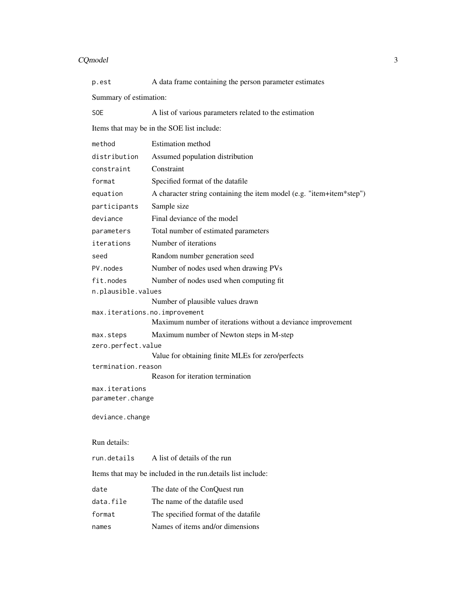#### $CQ$ model  $3$

| p.est                              | A data frame containing the person parameter estimates               |
|------------------------------------|----------------------------------------------------------------------|
| Summary of estimation:             |                                                                      |
| <b>SOE</b>                         | A list of various parameters related to the estimation               |
|                                    | Items that may be in the SOE list include:                           |
| method                             | <b>Estimation</b> method                                             |
| distribution                       | Assumed population distribution                                      |
| constraint                         | Constraint                                                           |
| format                             | Specified format of the datafile                                     |
| equation                           | A character string containing the item model (e.g. "item+item*step") |
| participants                       | Sample size                                                          |
| deviance                           | Final deviance of the model                                          |
| parameters                         | Total number of estimated parameters                                 |
| iterations                         | Number of iterations                                                 |
| seed                               | Random number generation seed                                        |
| PV. nodes                          | Number of nodes used when drawing PVs                                |
| fit.nodes                          | Number of nodes used when computing fit                              |
| n.plausible.values                 |                                                                      |
|                                    | Number of plausible values drawn                                     |
| max.iterations.no.improvement      | Maximum number of iterations without a deviance improvement          |
| max.steps                          | Maximum number of Newton steps in M-step                             |
| zero.perfect.value                 |                                                                      |
|                                    | Value for obtaining finite MLEs for zero/perfects                    |
| termination.reason                 | Reason for iteration termination                                     |
|                                    |                                                                      |
| max.iterations<br>parameter.change |                                                                      |
| deviance.change                    |                                                                      |
| Run details:                       |                                                                      |
| run.details                        | A list of details of the run                                         |
|                                    | Items that may be included in the run. details list include:         |
| date                               | The date of the ConQuest run                                         |
| data.file                          | The name of the datafile used                                        |
| format                             | The specified format of the datafile                                 |
| names                              | Names of items and/or dimensions                                     |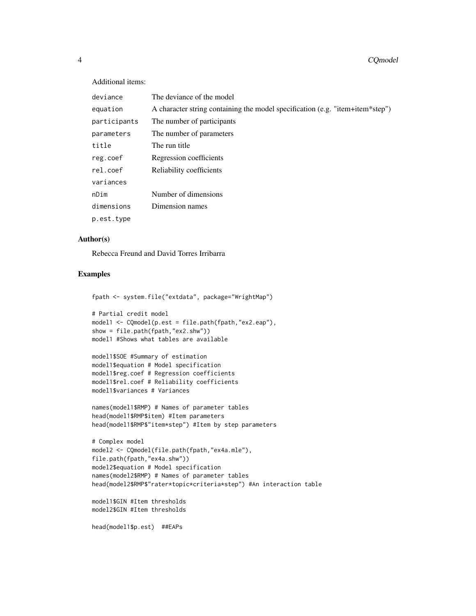#### Additional items:

| deviance     | The deviance of the model                                                     |
|--------------|-------------------------------------------------------------------------------|
| equation     | A character string containing the model specification (e.g. "item+item*step") |
| participants | The number of participants                                                    |
| parameters   | The number of parameters                                                      |
| title        | The run title                                                                 |
| reg.coef     | Regression coefficients                                                       |
| rel.coef     | Reliability coefficients                                                      |
| variances    |                                                                               |
| nDim         | Number of dimensions                                                          |
| dimensions   | Dimension names                                                               |
| p.est.type   |                                                                               |

#### Author(s)

Rebecca Freund and David Torres Irribarra

#### Examples

```
fpath <- system.file("extdata", package="WrightMap")
```

```
# Partial credit model
model1 <- CQmodel(p.est = file.path(fpath,"ex2.eap"),
show = file.path(fpath,"ex2.shw"))
model1 #Shows what tables are available
```

```
model1$SOE #Summary of estimation
model1$equation # Model specification
model1$reg.coef # Regression coefficients
model1$rel.coef # Reliability coefficients
model1$variances # Variances
```

```
names(model1$RMP) # Names of parameter tables
head(model1$RMP$item) #Item parameters
head(model1$RMP$"item*step") #Item by step parameters
```

```
# Complex model
model2 <- CQmodel(file.path(fpath,"ex4a.mle"),
file.path(fpath,"ex4a.shw"))
model2$equation # Model specification
names(model2$RMP) # Names of parameter tables
head(model2$RMP$"rater*topic*criteria*step") #An interaction table
```

```
model1$GIN #Item thresholds
model2$GIN #Item thresholds
```
head(model1\$p.est) ##EAPs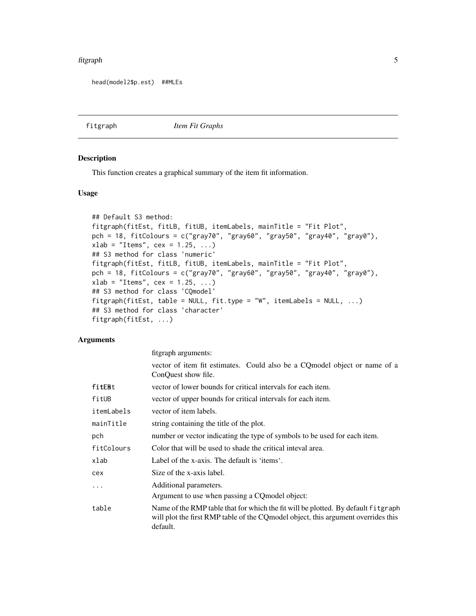#### <span id="page-4-0"></span>fitgraph 5

```
head(model2$p.est) ##MLEs
```
fitgraph *Item Fit Graphs*

#### Description

This function creates a graphical summary of the item fit information.

#### Usage

```
## Default S3 method:
fitgraph(fitEst, fitLB, fitUB, itemLabels, mainTitle = "Fit Plot",
pch = 18, fitColours = c("gray70", "gray60", "gray50", "gray40", "gray0"),
xlab = "Items", cex = 1.25, ...)
## S3 method for class 'numeric'
fitgraph(fitEst, fitLB, fitUB, itemLabels, mainTitle = "Fit Plot",
pch = 18, fitColours = c("gray70", "gray60", "gray50", "gray40", "gray0"),
xlab = "Items", cex = 1.25, ...)## S3 method for class 'CQmodel'
fitgraph(fitEst, table = NULL, fit.type = "W", itemLabels = NULL, ...)
## S3 method for class 'character'
fitgraph(fitEst, ...)
```
#### Arguments

|            | fitgraph arguments:                                                                                                                                                                 |
|------------|-------------------------------------------------------------------------------------------------------------------------------------------------------------------------------------|
|            | vector of item fit estimates. Could also be a CQmodel object or name of a<br>ConQuest show file.                                                                                    |
| fitEBt     | vector of lower bounds for critical intervals for each item.                                                                                                                        |
| fitUB      | vector of upper bounds for critical intervals for each item.                                                                                                                        |
| itemLabels | vector of item labels.                                                                                                                                                              |
| mainTitle  | string containing the title of the plot.                                                                                                                                            |
| pch        | number or vector indicating the type of symbols to be used for each item.                                                                                                           |
| fitColours | Color that will be used to shade the critical inteval area.                                                                                                                         |
| xlab       | Label of the x-axis. The default is 'items'.                                                                                                                                        |
| cex        | Size of the x-axis label.                                                                                                                                                           |
| $\ddots$   | Additional parameters.                                                                                                                                                              |
|            | Argument to use when passing a CQ model object:                                                                                                                                     |
| table      | Name of the RMP table that for which the fit will be plotted. By default fitgraph<br>will plot the first RMP table of the CQ model object, this argument overrides this<br>default. |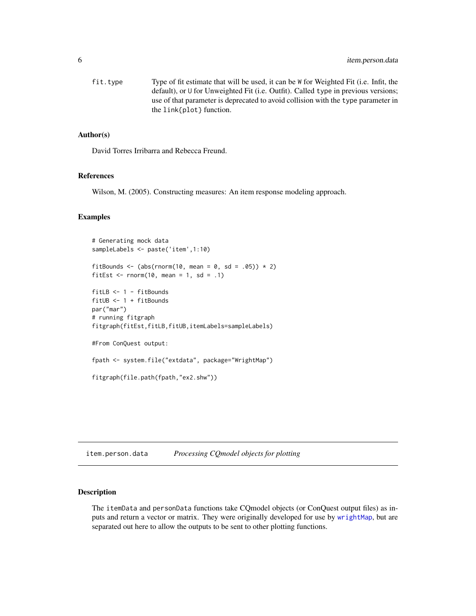<span id="page-5-0"></span>fit.type Type of fit estimate that will be used, it can be W for Weighted Fit (i.e. Infit, the default), or U for Unweighted Fit (i.e. Outfit). Called type in previous versions; use of that parameter is deprecated to avoid collision with the type parameter in the link{plot} function.

#### Author(s)

David Torres Irribarra and Rebecca Freund.

#### References

Wilson, M. (2005). Constructing measures: An item response modeling approach.

#### Examples

```
# Generating mock data
sampleLabels <- paste('item',1:10)
fitBounds <- (abs(rnorm(10, mean = 0, sd = .05)) \star 2)
fitEst \le rnorm(10, mean = 1, sd = .1)
fitLB <- 1 - fitBounds
fitUB <- 1 + fitBounds
par("mar")
# running fitgraph
fitgraph(fitEst,fitLB,fitUB,itemLabels=sampleLabels)
#From ConQuest output:
fpath <- system.file("extdata", package="WrightMap")
fitgraph(file.path(fpath,"ex2.shw"))
```
<span id="page-5-2"></span>item.person.data *Processing CQmodel objects for plotting*

#### <span id="page-5-1"></span>Description

The itemData and personData functions take CQmodel objects (or ConQuest output files) as inputs and return a vector or matrix. They were originally developed for use by [wrightMap](#page-24-1), but are separated out here to allow the outputs to be sent to other plotting functions.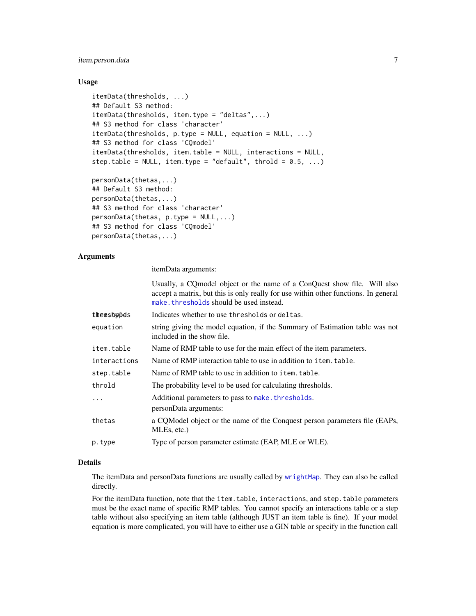#### <span id="page-6-0"></span>item.person.data 7

#### Usage

```
itemData(thresholds, ...)
## Default S3 method:
itemData(thresholds, item.type = "deltas",...)
## S3 method for class 'character'
itemData(thresholds, p.type = NULL, equation = NULL, ...)
## S3 method for class 'CQmodel'
itemData(thresholds, item.table = NULL, interactions = NULL,
step.table = NULL, item.type = "default", throld = 0.5, ...)
personData(thetas,...)
```

```
## Default S3 method:
personData(thetas,...)
## S3 method for class 'character'
personData(thetas, p.type = NULL,...)
## S3 method for class 'CQmodel'
personData(thetas,...)
```
#### Arguments

itemData arguments:

Usually, a CQmodel object or the name of a ConQuest show file. Will also accept a matrix, but this is only really for use within other functions. In general [make.thresholds](#page-14-1) should be used instead.

| themshobds   | Indicates whether to use thresholds or deltas.                                                             |
|--------------|------------------------------------------------------------------------------------------------------------|
| equation     | string giving the model equation, if the Summary of Estimation table was not<br>included in the show file. |
| item.table   | Name of RMP table to use for the main effect of the item parameters.                                       |
| interactions | Name of RMP interaction table to use in addition to item, table.                                           |
| step.table   | Name of RMP table to use in addition to item. table.                                                       |
| throld       | The probability level to be used for calculating thresholds.                                               |
| $\cdots$     | Additional parameters to pass to make. thresholds.                                                         |
|              | personData arguments:                                                                                      |
| thetas       | a CQModel object or the name of the Conquest person parameters file (EAPs,<br>MLEs, etc.)                  |
| p.type       | Type of person parameter estimate (EAP, MLE or WLE).                                                       |
|              |                                                                                                            |

#### Details

The itemData and personData functions are usually called by [wrightMap](#page-24-1). They can also be called directly.

For the itemData function, note that the item.table, interactions, and step.table parameters must be the exact name of specific RMP tables. You cannot specify an interactions table or a step table without also specifying an item table (although JUST an item table is fine). If your model equation is more complicated, you will have to either use a GIN table or specify in the function call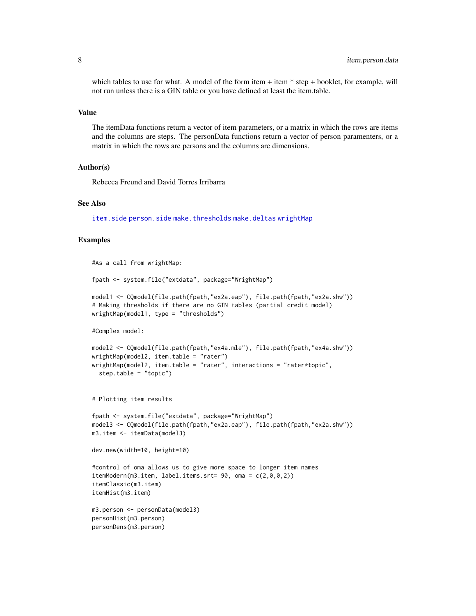<span id="page-7-0"></span>which tables to use for what. A model of the form item  $+$  item  $*$  step  $+$  booklet, for example, will not run unless there is a GIN table or you have defined at least the item.table.

#### Value

The itemData functions return a vector of item parameters, or a matrix in which the rows are items and the columns are steps. The personData functions return a vector of person paramenters, or a matrix in which the rows are persons and the columns are dimensions.

#### Author(s)

Rebecca Freund and David Torres Irribarra

#### See Also

[item.side](#page-8-1) [person.side](#page-16-1) [make.thresholds](#page-14-1) [make.deltas](#page-12-1) [wrightMap](#page-24-1)

#### Examples

```
#As a call from wrightMap:
fpath <- system.file("extdata", package="WrightMap")
model1 <- CQmodel(file.path(fpath,"ex2a.eap"), file.path(fpath,"ex2a.shw"))
# Making thresholds if there are no GIN tables (partial credit model)
wrightMap(model1, type = "thresholds")
#Complex model:
model2 <- CQmodel(file.path(fpath,"ex4a.mle"), file.path(fpath,"ex4a.shw"))
wrightMap(model2, item.table = "rater")
wrightMap(model2, item.table = "rater", interactions = "rater*topic",
  step.table = "topic")
# Plotting item results
fpath <- system.file("extdata", package="WrightMap")
model3 <- CQmodel(file.path(fpath,"ex2a.eap"), file.path(fpath,"ex2a.shw"))
m3.item <- itemData(model3)
dev.new(width=10, height=10)
#control of oma allows us to give more space to longer item names
itemModern(m3.item, label.items.srt= 90, oma = c(2,0,0,2))
itemClassic(m3.item)
itemHist(m3.item)
m3.person <- personData(model3)
personHist(m3.person)
personDens(m3.person)
```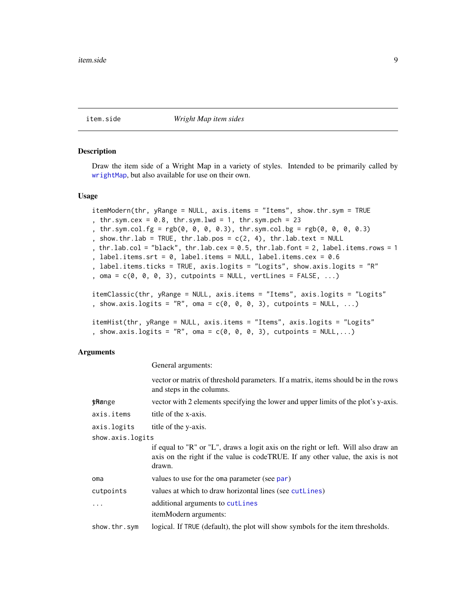#### <span id="page-8-1"></span><span id="page-8-0"></span>Description

Draw the item side of a Wright Map in a variety of styles. Intended to be primarily called by [wrightMap](#page-24-1), but also available for use on their own.

#### Usage

```
itemModern(thr, yRange = NULL, axis.items = "Items", show.thr.sym = TRUE
, thr.sym.cex = 0.8, thr.sym.lwd = 1, thr.sym.pch = 23
, thr.sym.col.fg = rgb(0, 0, 0, 0.3), thr.sym.col.bg = rgb(0, 0, 0, 0.3)
, show.thr.lab = TRUE, thr.lab.pos = c(2, 4), thr.lab.text = NULL
, thr.lab.col = "black", thr.lab.cex = 0.5, thr.lab.font = 2, label.items.rows = 1
, label.items.srt = 0, label.items = NULL, label.items.cex = 0.6
, label.items.ticks = TRUE, axis.logits = "Logits", show.axis.logits = "R"
, oma = c(\emptyset, \emptyset, \emptyset, 3), cutpoints = NULL, vertLines = FALSE, ...)
itemClassic(thr, yRange = NULL, axis.items = "Items", axis.logits = "Logits"
, show.axis.logits = "R", oma = c(\emptyset, \emptyset, \emptyset, 3), cutpoints = NULL, ...)
itemHist(thr, yRange = NULL, axis.items = "Items", axis.logits = "Logits"
, show.axis.logits = "R", oma = c(0, 0, 0, 3), cutpoints = NULL,...)
```
#### Arguments

General arguments:

|                  | vector or matrix of threshold parameters. If a matrix, items should be in the rows<br>and steps in the columns.                                                                 |
|------------------|---------------------------------------------------------------------------------------------------------------------------------------------------------------------------------|
| <b>thange</b>    | vector with 2 elements specifying the lower and upper limits of the plot's y-axis.                                                                                              |
| axis.items       | title of the x-axis.                                                                                                                                                            |
| axis.logits      | title of the y-axis.                                                                                                                                                            |
| show.axis.logits |                                                                                                                                                                                 |
|                  | if equal to "R" or "L", draws a logit axis on the right or left. Will also draw an<br>axis on the right if the value is codeTRUE. If any other value, the axis is not<br>drawn. |
| oma              | values to use for the oma parameter (see par)                                                                                                                                   |
| cutpoints        | values at which to draw horizontal lines (see cutLines)                                                                                                                         |
| $\ddotsc$        | additional arguments to cutLines                                                                                                                                                |
|                  | itemModern arguments:                                                                                                                                                           |
| show.thr.sym     | logical. If TRUE (default), the plot will show symbols for the item thresholds.                                                                                                 |
|                  |                                                                                                                                                                                 |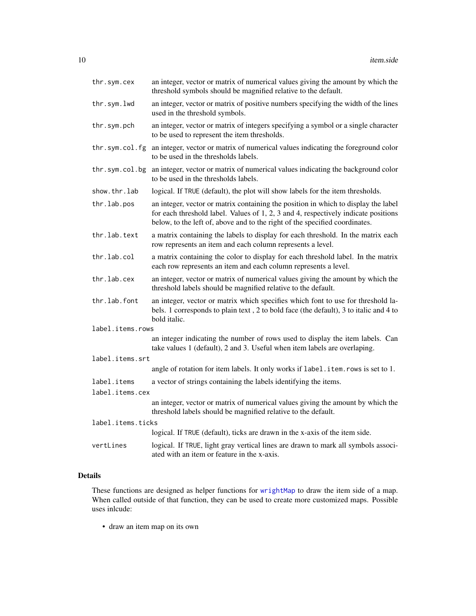| thr.sym.cex       | an integer, vector or matrix of numerical values giving the amount by which the<br>threshold symbols should be magnified relative to the default.                                                                                                       |
|-------------------|---------------------------------------------------------------------------------------------------------------------------------------------------------------------------------------------------------------------------------------------------------|
| thr.sym.lwd       | an integer, vector or matrix of positive numbers specifying the width of the lines<br>used in the threshold symbols.                                                                                                                                    |
| thr.sym.pch       | an integer, vector or matrix of integers specifying a symbol or a single character<br>to be used to represent the item thresholds.                                                                                                                      |
| thr.sym.col.fg    | an integer, vector or matrix of numerical values indicating the foreground color<br>to be used in the thresholds labels.                                                                                                                                |
| thr.sym.col.bg    | an integer, vector or matrix of numerical values indicating the background color<br>to be used in the thresholds labels.                                                                                                                                |
| show.thr.lab      | logical. If TRUE (default), the plot will show labels for the item thresholds.                                                                                                                                                                          |
| thr.lab.pos       | an integer, vector or matrix containing the position in which to display the label<br>for each threshold label. Values of 1, 2, 3 and 4, respectively indicate positions<br>below, to the left of, above and to the right of the specified coordinates. |
| thr.lab.text      | a matrix containing the labels to display for each threshold. In the matrix each<br>row represents an item and each column represents a level.                                                                                                          |
| thr.lab.col       | a matrix containing the color to display for each threshold label. In the matrix<br>each row represents an item and each column represents a level.                                                                                                     |
| thr.lab.cex       | an integer, vector or matrix of numerical values giving the amount by which the<br>threshold labels should be magnified relative to the default.                                                                                                        |
| thr.lab.font      | an integer, vector or matrix which specifies which font to use for threshold la-<br>bels. 1 corresponds to plain text, 2 to bold face (the default), 3 to italic and 4 to<br>bold italic.                                                               |
| label.items.rows  |                                                                                                                                                                                                                                                         |
|                   | an integer indicating the number of rows used to display the item labels. Can<br>take values 1 (default), 2 and 3. Useful when item labels are overlaping.                                                                                              |
| label.items.srt   |                                                                                                                                                                                                                                                         |
|                   | angle of rotation for item labels. It only works if label.item.rows is set to 1.                                                                                                                                                                        |
| label.items       | a vector of strings containing the labels identifying the items.                                                                                                                                                                                        |
| label.items.cex   |                                                                                                                                                                                                                                                         |
|                   | an integer, vector or matrix of numerical values giving the amount by which the<br>threshold labels should be magnified relative to the default.                                                                                                        |
| label.items.ticks |                                                                                                                                                                                                                                                         |
|                   | logical. If TRUE (default), ticks are drawn in the x-axis of the item side.                                                                                                                                                                             |
| vertLines         | logical. If TRUE, light gray vertical lines are drawn to mark all symbols associ-<br>ated with an item or feature in the x-axis.                                                                                                                        |

### Details

These functions are designed as helper functions for [wrightMap](#page-24-1) to draw the item side of a map. When called outside of that function, they can be used to create more customized maps. Possible uses inlcude:

• draw an item map on its own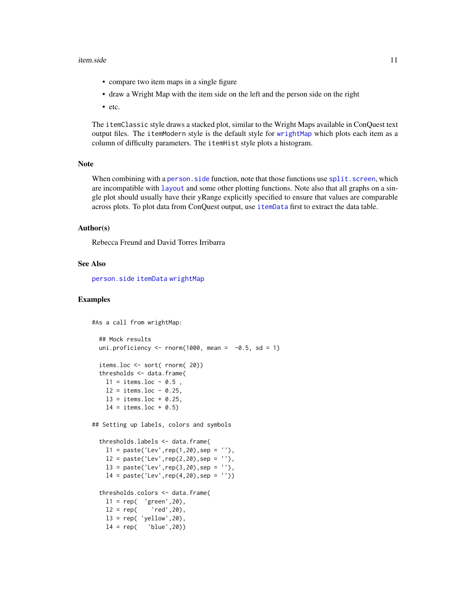#### <span id="page-10-0"></span>item.side 11

- compare two item maps in a single figure
- draw a Wright Map with the item side on the left and the person side on the right
- etc.

The itemClassic style draws a stacked plot, similar to the Wright Maps available in ConQuest text output files. The itemModern style is the default style for [wrightMap](#page-24-1) which plots each item as a column of difficulty parameters. The itemHist style plots a histogram.

#### Note

When combining with a person. side function, note that those functions use split. screen, which are incompatible with [layout](#page-0-0) and some other plotting functions. Note also that all graphs on a single plot should usually have their yRange explicitly specified to ensure that values are comparable across plots. To plot data from ConQuest output, use [itemData](#page-5-1) first to extract the data table.

#### Author(s)

Rebecca Freund and David Torres Irribarra

#### See Also

[person.side](#page-16-1) [itemData](#page-5-1) [wrightMap](#page-24-1)

#### Examples

```
#As a call from wrightMap:
 ## Mock results
 uni.proficiency \le rnorm(1000, mean = -0.5, sd = 1)
 items.loc <- sort( rnorm( 20))
 thresholds <- data.frame(
   11 = items.loc - 0.5,
   12 = items.loc - 0.25,13 = items.loc + 0.25,
   14 = items.loc + 0.5)
## Setting up labels, colors and symbols
  thresholds.labels <- data.frame(
   11 = paste('Lev', rep(1,20),sep = ''),12 = paste('Lev', rep(2,20),sep = ''),13 = paste('Lev', rep(3,20), sep = ''),14 = paste('Lev', rep(4,20), sep = ''))thresholds.colors <- data.frame(
   11 = rep( 'green', 20),
   12 = rep( 'red', 20),
   13 = rep('yellow', 20),14 = rep( 'blue', 20))
```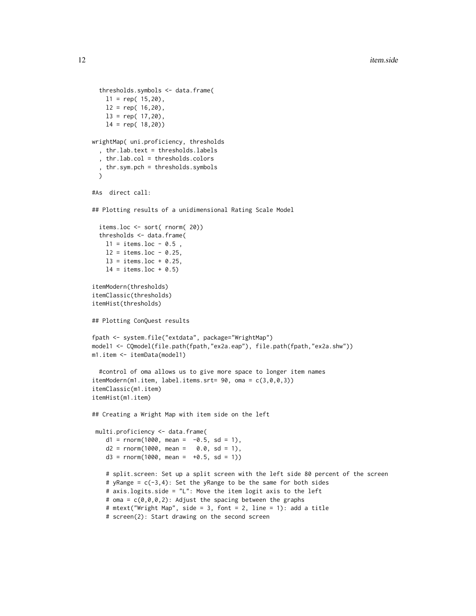```
thresholds.symbols <- data.frame(
   11 = rep(15,20),
   12 = rep(16,20),
   13 = rep(17,20),
   l4 = rep( 18,20))
wrightMap( uni.proficiency, thresholds
  , thr.lab.text = thresholds.labels
  , thr.lab.col = thresholds.colors
  , thr.sym.pch = thresholds.symbols
 \lambda#As direct call:
## Plotting results of a unidimensional Rating Scale Model
 items.loc <- sort( rnorm( 20))
 thresholds <- data.frame(
   11 = items.loc - 0.5,
   12 = items.loc - 0.25,
   13 = items.loc + 0.25,
   14 = items.loc + 0.5itemModern(thresholds)
itemClassic(thresholds)
itemHist(thresholds)
## Plotting ConQuest results
fpath <- system.file("extdata", package="WrightMap")
model1 <- CQmodel(file.path(fpath,"ex2a.eap"), file.path(fpath,"ex2a.shw"))
m1.item <- itemData(model1)
  #control of oma allows us to give more space to longer item names
itemModern(m1.item, label.items.srt= 90, oma = c(3,0,0,3))
itemClassic(m1.item)
itemHist(m1.item)
## Creating a Wright Map with item side on the left
multi.proficiency <- data.frame(
   d1 = rnorm(1000, mean = -0.5, sd = 1),d2 = rnorm(1000, mean = 0.0, sd = 1),d3 = rnorm(1000, mean = +0.5, sd = 1)# split.screen: Set up a split screen with the left side 80 percent of the screen
    # yRange = c(-3, 4): Set the yRange to be the same for both sides
    # axis.logits.side = "L": Move the item logit axis to the left
    # oma = c(0,0,0,2): Adjust the spacing between the graphs
    # mtext("Wright Map", side = 3, font = 2, line = 1): add a title
    # screen(2): Start drawing on the second screen
```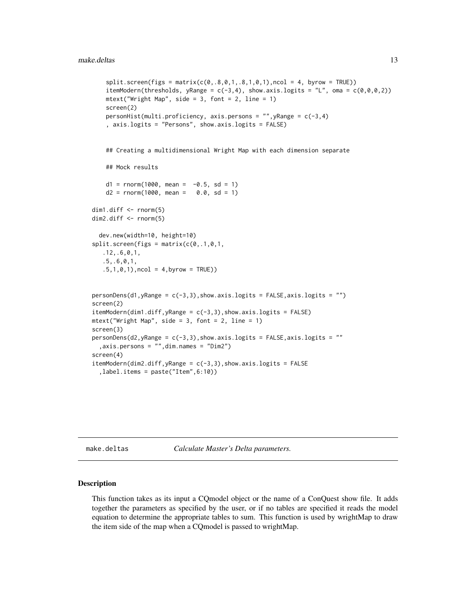```
split. screen(figs = matrix(c(\emptyset, .8, 0, 1, .8, 1, 0, 1), ncol = 4, byrow = TRUE))
    itemModern(thresholds, yRange = c(-3,4), show.axis.logits = "L", oma = c(\emptyset,\emptyset,\emptyset,2))
    mtext{text("Wright Map", side = 3, font = 2, line = 1)}screen(2)
    personHist(multi.proficiency, axis.persons = "",yRange = c(-3,4)
    , axis.logits = "Persons", show.axis.logits = FALSE)
    ## Creating a multidimensional Wright Map with each dimension separate
    ## Mock results
    d1 = rnorm(1000, mean = -0.5, sd = 1)d2 = rnorm(1000, mean = 0.0, sd = 1)dim1.diff <- rnorm(5)
dim2.diff <- rnorm(5)
 dev.new(width=10, height=10)
split. screen(figs = matrix(c(0, .1, 0, 1, ).12,.6,0,1,
   .5,.6,0,1,
   .5,1,0,1), ncol = 4, byrow = TRUE))
personDens(d1, yRange = c(-3,3), show.axis.logits = FALSE, axis.logits = "")
screen(2)
itemModern(dim1.diff, yRange = c(-3,3), show. axis. logits = FALSE)mtext{text("Wright Map", side = 3, font = 2, line = 1)}screen(3)
personDens(d2, yRange = c(-3,3), show.axis.logits = FALSE, axis.logits = ""
  ,axis.persons = "",dim.names = "Dim2")
screen(4)
itemModern(dim2.diff, yRange = c(-3,3), show. axis. logits = FALSE,label.items = paste("Item",6:10))
```
<span id="page-12-1"></span>make.deltas *Calculate Master's Delta parameters.*

#### Description

This function takes as its input a CQmodel object or the name of a ConQuest show file. It adds together the parameters as specified by the user, or if no tables are specified it reads the model equation to determine the appropriate tables to sum. This function is used by wrightMap to draw the item side of the map when a CQmodel is passed to wrightMap.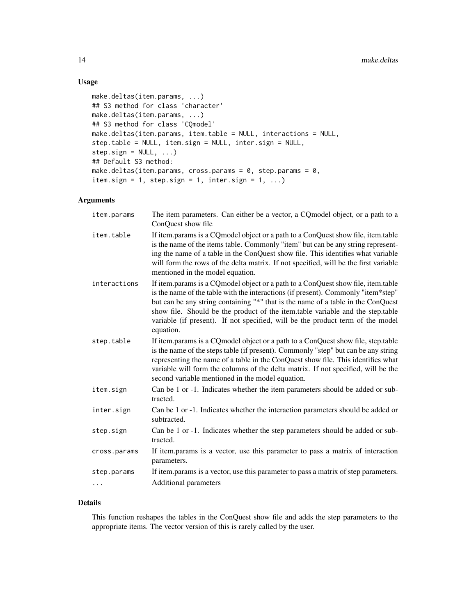#### Usage

```
make.deltas(item.params, ...)
## S3 method for class 'character'
make.deltas(item.params, ...)
## S3 method for class 'CQmodel'
make.deltas(item.params, item.table = NULL, interactions = NULL,
step.table = NULL, item.sign = NULL, inter.sign = NULL,
step.sign = NULL, ...)## Default S3 method:
make.deltas(item.params, cross.params = 0, step.params = 0,
item.sign = 1, step.sign = 1, inter.sign = 1, ...)
```
#### Arguments

| item.params  | The item parameters. Can either be a vector, a CQ model object, or a path to a<br>ConQuest show file                                                                                                                                                                                                                                                                                                                                        |
|--------------|---------------------------------------------------------------------------------------------------------------------------------------------------------------------------------------------------------------------------------------------------------------------------------------------------------------------------------------------------------------------------------------------------------------------------------------------|
| item.table   | If item params is a CQ model object or a path to a ConQuest show file, item table<br>is the name of the items table. Commonly "item" but can be any string represent-<br>ing the name of a table in the ConQuest show file. This identifies what variable<br>will form the rows of the delta matrix. If not specified, will be the first variable<br>mentioned in the model equation.                                                       |
| interactions | If item.params is a CQ model object or a path to a ConQuest show file, item.table<br>is the name of the table with the interactions (if present). Commonly "item*step"<br>but can be any string containing "*" that is the name of a table in the ConQuest<br>show file. Should be the product of the item.table variable and the step.table<br>variable (if present). If not specified, will be the product term of the model<br>equation. |
| step.table   | If item params is a CQ model object or a path to a ConQuest show file, step table<br>is the name of the steps table (if present). Commonly "step" but can be any string<br>representing the name of a table in the ConQuest show file. This identifies what<br>variable will form the columns of the delta matrix. If not specified, will be the<br>second variable mentioned in the model equation.                                        |
| item.sign    | Can be 1 or -1. Indicates whether the item parameters should be added or sub-<br>tracted.                                                                                                                                                                                                                                                                                                                                                   |
| inter.sign   | Can be 1 or -1. Indicates whether the interaction parameters should be added or<br>subtracted.                                                                                                                                                                                                                                                                                                                                              |
| step.sign    | Can be 1 or -1. Indicates whether the step parameters should be added or sub-<br>tracted.                                                                                                                                                                                                                                                                                                                                                   |
| cross.params | If item.params is a vector, use this parameter to pass a matrix of interaction<br>parameters.                                                                                                                                                                                                                                                                                                                                               |
| step.params  | If item.params is a vector, use this parameter to pass a matrix of step parameters.                                                                                                                                                                                                                                                                                                                                                         |
| $\cdots$     | Additional parameters                                                                                                                                                                                                                                                                                                                                                                                                                       |

#### Details

This function reshapes the tables in the ConQuest show file and adds the step parameters to the appropriate items. The vector version of this is rarely called by the user.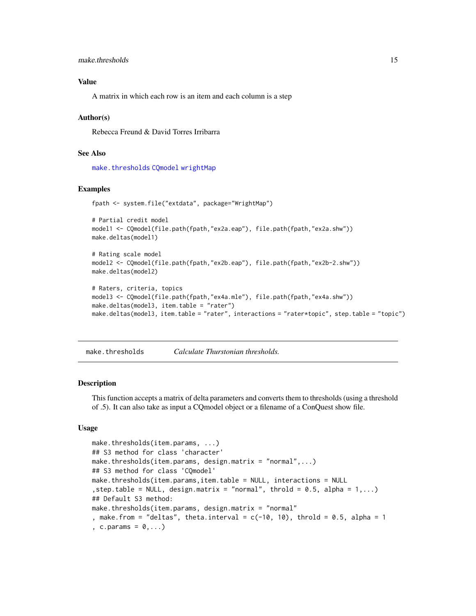```
make.thresholds 15
```
#### Value

A matrix in which each row is an item and each column is a step

#### Author(s)

Rebecca Freund & David Torres Irribarra

#### See Also

[make.thresholds](#page-14-1) [CQmodel](#page-1-1) [wrightMap](#page-24-1)

#### Examples

```
fpath <- system.file("extdata", package="WrightMap")
```

```
# Partial credit model
model1 <- CQmodel(file.path(fpath,"ex2a.eap"), file.path(fpath,"ex2a.shw"))
make.deltas(model1)
```

```
# Rating scale model
model2 <- CQmodel(file.path(fpath,"ex2b.eap"), file.path(fpath,"ex2b-2.shw"))
make.deltas(model2)
```

```
# Raters, criteria, topics
model3 <- CQmodel(file.path(fpath,"ex4a.mle"), file.path(fpath,"ex4a.shw"))
make.deltas(model3, item.table = "rater")
make.deltas(model3, item.table = "rater", interactions = "rater*topic", step.table = "topic")
```
<span id="page-14-1"></span>make.thresholds *Calculate Thurstonian thresholds.*

#### Description

This function accepts a matrix of delta parameters and converts them to thresholds (using a threshold of .5). It can also take as input a CQmodel object or a filename of a ConQuest show file.

#### Usage

```
make.thresholds(item.params, ...)
## S3 method for class 'character'
make.thresholds(item.params, design.matrix = "normal",...)
## S3 method for class 'CQmodel'
make.thresholds(item.params,item.table = NULL, interactions = NULL
, step.table = NULL, design.matrix = "normal", throld = 0.5, alpha = 1,...)
## Default S3 method:
make.thresholds(item.params, design.matrix = "normal"
, make.from = "deltas", theta.interval = c(-10, 10), throld = 0.5, alpha = 1
, c.params = 0, \ldots)
```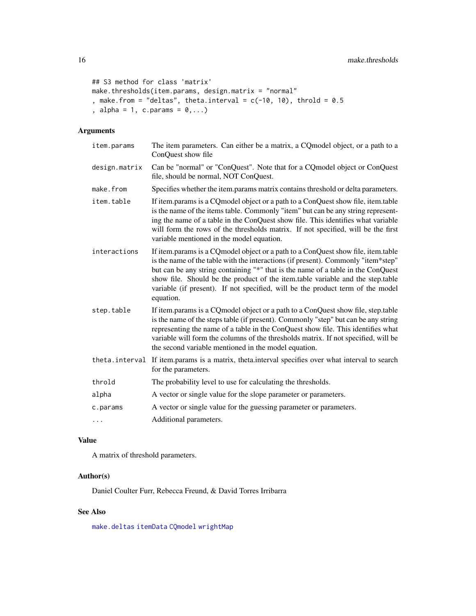```
## S3 method for class 'matrix'
make.thresholds(item.params, design.matrix = "normal"
, make.from = "deltas", theta.interval = c(-10, 10), throld = 0.5
, alpha = 1, c.params = 0, \ldots)
```
#### Arguments

| item.params    | The item parameters. Can either be a matrix, a CQ model object, or a path to a<br>ConQuest show file                                                                                                                                                                                                                                                                                                                                        |
|----------------|---------------------------------------------------------------------------------------------------------------------------------------------------------------------------------------------------------------------------------------------------------------------------------------------------------------------------------------------------------------------------------------------------------------------------------------------|
| design.matrix  | Can be "normal" or "ConQuest". Note that for a CQmodel object or ConQuest<br>file, should be normal, NOT ConQuest.                                                                                                                                                                                                                                                                                                                          |
| make.from      | Specifies whether the item.params matrix contains threshold or delta parameters.                                                                                                                                                                                                                                                                                                                                                            |
| item.table     | If item.params is a CQ model object or a path to a ConQuest show file, item.table<br>is the name of the items table. Commonly "item" but can be any string represent-<br>ing the name of a table in the ConQuest show file. This identifies what variable<br>will form the rows of the thresholds matrix. If not specified, will be the first<br>variable mentioned in the model equation.                                                  |
| interactions   | If item params is a CQ model object or a path to a ConQuest show file, item table<br>is the name of the table with the interactions (if present). Commonly "item*step"<br>but can be any string containing "*" that is the name of a table in the ConQuest<br>show file. Should be the product of the item.table variable and the step.table<br>variable (if present). If not specified, will be the product term of the model<br>equation. |
| step.table     | If item params is a CQ model object or a path to a ConQuest show file, step table<br>is the name of the steps table (if present). Commonly "step" but can be any string<br>representing the name of a table in the ConQuest show file. This identifies what<br>variable will form the columns of the thresholds matrix. If not specified, will be<br>the second variable mentioned in the model equation.                                   |
| theta.interval | If item params is a matrix, theta interval specifies over what interval to search<br>for the parameters.                                                                                                                                                                                                                                                                                                                                    |
| throld         | The probability level to use for calculating the thresholds.                                                                                                                                                                                                                                                                                                                                                                                |
| alpha          | A vector or single value for the slope parameter or parameters.                                                                                                                                                                                                                                                                                                                                                                             |
| c.params       | A vector or single value for the guessing parameter or parameters.                                                                                                                                                                                                                                                                                                                                                                          |
| .              | Additional parameters.                                                                                                                                                                                                                                                                                                                                                                                                                      |

#### Value

A matrix of threshold parameters.

#### Author(s)

Daniel Coulter Furr, Rebecca Freund, & David Torres Irribarra

#### See Also

[make.deltas](#page-12-1) [itemData](#page-5-1) [CQmodel](#page-1-1) [wrightMap](#page-24-1)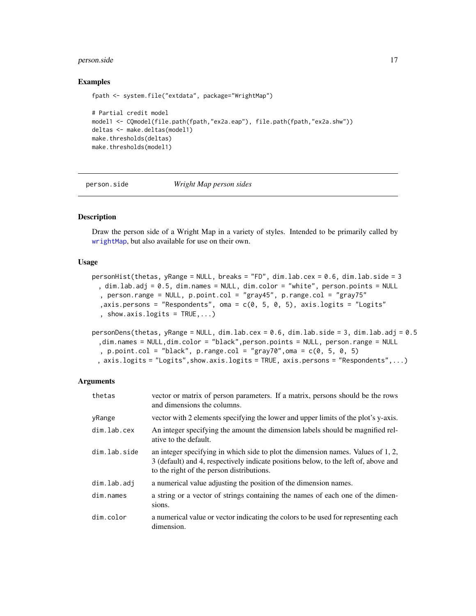#### <span id="page-16-0"></span>person.side 17

#### Examples

```
fpath <- system.file("extdata", package="WrightMap")
# Partial credit model
model1 <- CQmodel(file.path(fpath,"ex2a.eap"), file.path(fpath,"ex2a.shw"))
deltas <- make.deltas(model1)
make.thresholds(deltas)
make.thresholds(model1)
```
<span id="page-16-1"></span>person.side *Wright Map person sides*

#### Description

Draw the person side of a Wright Map in a variety of styles. Intended to be primarily called by [wrightMap](#page-24-1), but also available for use on their own.

#### Usage

```
personHist(thetas, yRange = NULL, breaks = "FD", dim.lab.cex = 0.6, dim.lab.side = 3
 , dim.lab.adj = 0.5, dim.names = NULL, dim.color = "white", person.points = NULL
  , person.range = NULL, p.point.col = "gray45", p.range.col = "gray75"
  ,axis.persons = "Respondents", oma = c(0, 5, 0, 5), axis.logits = "Logits"
  , show.axis.logits = TRUE,...)
```

```
personDens(thetas, yRange = NULL, dim.lab.cex = 0.6, dim.lab.side = 3, dim.lab.adj = 0.5
 ,dim.names = NULL,dim.color = "black",person.points = NULL, person.range = NULL
  , p.point.col = "black", p.range.col = "gray70", oma = c(0, 5, 0, 5), axis.logits = "Logits",show.axis.logits = TRUE, axis.persons = "Respondents",...)
```
#### Arguments

| thetas       | vector or matrix of person parameters. If a matrix, persons should be the rows<br>and dimensions the columns.                                                                                                        |
|--------------|----------------------------------------------------------------------------------------------------------------------------------------------------------------------------------------------------------------------|
| yRange       | vector with 2 elements specifying the lower and upper limits of the plot's y-axis.                                                                                                                                   |
| dim.lab.cex  | An integer specifying the amount the dimension labels should be magnified rel-<br>ative to the default.                                                                                                              |
| dim.lab.side | an integer specifying in which side to plot the dimension names. Values of 1, 2,<br>3 (default) and 4, respectively indicate positions below, to the left of, above and<br>to the right of the person distributions. |
| dim.lab.adj  | a numerical value adjusting the position of the dimension names.                                                                                                                                                     |
| dim.names    | a string or a vector of strings containing the names of each one of the dimen-<br>sions.                                                                                                                             |
| dim.color    | a numerical value or vector indicating the colors to be used for representing each<br>dimension.                                                                                                                     |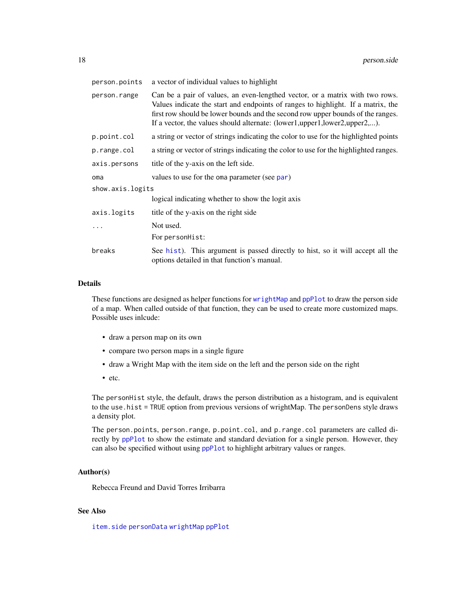<span id="page-17-0"></span>

| person.points    | a vector of individual values to highlight                                                                                                                                                                                                                                                                                       |
|------------------|----------------------------------------------------------------------------------------------------------------------------------------------------------------------------------------------------------------------------------------------------------------------------------------------------------------------------------|
| person.range     | Can be a pair of values, an even-lengthed vector, or a matrix with two rows.<br>Values indicate the start and endpoints of ranges to highlight. If a matrix, the<br>first row should be lower bounds and the second row upper bounds of the ranges.<br>If a vector, the values should alternate: (lower1,upper1,lower2,upper2,). |
| p.point.col      | a string or vector of strings indicating the color to use for the highlighted points                                                                                                                                                                                                                                             |
| p.range.col      | a string or vector of strings indicating the color to use for the highlighted ranges.                                                                                                                                                                                                                                            |
| axis.persons     | title of the y-axis on the left side.                                                                                                                                                                                                                                                                                            |
| oma              | values to use for the oma parameter (see par)                                                                                                                                                                                                                                                                                    |
| show.axis.logits |                                                                                                                                                                                                                                                                                                                                  |
|                  | logical indicating whether to show the logit axis                                                                                                                                                                                                                                                                                |
| axis.logits      | title of the y-axis on the right side                                                                                                                                                                                                                                                                                            |
|                  | Not used.                                                                                                                                                                                                                                                                                                                        |
|                  | For personHist:                                                                                                                                                                                                                                                                                                                  |
| breaks           | See hist). This argument is passed directly to hist, so it will accept all the<br>options detailed in that function's manual.                                                                                                                                                                                                    |

#### Details

These functions are designed as helper functions for [wrightMap](#page-24-1) and [ppPlot](#page-20-2) to draw the person side of a map. When called outside of that function, they can be used to create more customized maps. Possible uses inlcude:

- draw a person map on its own
- compare two person maps in a single figure
- draw a Wright Map with the item side on the left and the person side on the right
- etc.

The personHist style, the default, draws the person distribution as a histogram, and is equivalent to the use.hist = TRUE option from previous versions of wrightMap. The personDens style draws a density plot.

The person.points, person.range, p.point.col, and p.range.col parameters are called directly by [ppPlot](#page-20-2) to show the estimate and standard deviation for a single person. However, they can also be specified without using [ppPlot](#page-20-2) to highlight arbitrary values or ranges.

#### Author(s)

Rebecca Freund and David Torres Irribarra

#### See Also

[item.side](#page-8-1) [personData](#page-5-1) [wrightMap](#page-24-1) [ppPlot](#page-20-2)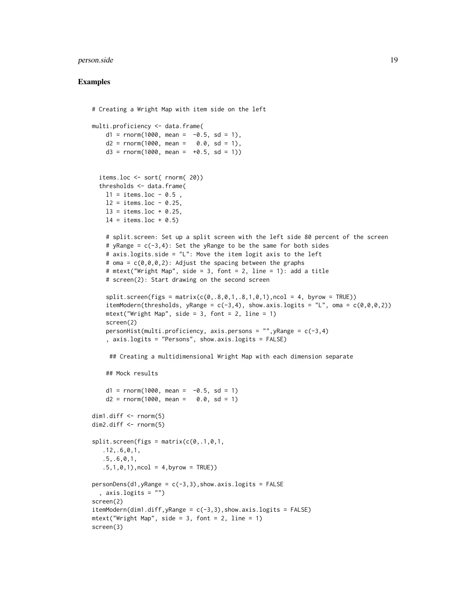#### person.side 19

#### Examples

```
# Creating a Wright Map with item side on the left
multi.proficiency <- data.frame(
   d1 = rnorm(1000, mean = -0.5, sd = 1),d2 = rnorm(1000, mean = 0.0, sd = 1),d3 = rnorm(1000, mean = +0.5, sd = 1)items.loc <- sort( rnorm( 20))
 thresholds <- data.frame(
   11 = items.loc - 0.5,
   12 = items.loc - 0.25,
   13 = items.loc + 0.25,
   14 = items.loc + 0.5)
   # split.screen: Set up a split screen with the left side 80 percent of the screen
    # yRange = c(-3, 4): Set the yRange to be the same for both sides
    # axis.logits.side = "L": Move the item logit axis to the left
   # oma = c(0,0,0,2): Adjust the spacing between the graphs
    # mtext("Wright Map", side = 3, font = 2, line = 1): add a title
   # screen(2): Start drawing on the second screen
    split. screen(figs = matrix(c(\emptyset, .8, 0, 1, .8, 1, 0, 1), ncol = 4, byrow = TRUE))
   itemModern(thresholds, yRange = c(-3,4), show.axis.logits = "L", oma = c(\emptyset,\emptyset,\emptyset,2))
   mtext("Wright Map", side = 3, font = 2, line = 1)
   screen(2)
   personHist(multi.proficiency, axis.persons = ", yRange = c(-3, 4), axis.logits = "Persons", show.axis.logits = FALSE)
     ## Creating a multidimensional Wright Map with each dimension separate
    ## Mock results
   d1 = rnorm(1000, mean = -0.5, sd = 1)d2 = rnorm(1000, mean = 0.0, sd = 1)dim1.diff <- rnorm(5)
dim2.diff <- rnorm(5)
split. screen(figs = matrix(c(0, .1, 0, 1, ).12,.6,0,1,
   .5,.6,0,1,
   .5,1,0,1), ncol = 4, byrow = TRUE))
personDens(d1, yRange = c(-3, 3), show.axis.logits = FALSE, axis.logits = "")
screen(2)
itemModern(dim1.diff, yRange = c(-3,3), show. axis. logits = FALSE)mtext('Wright Map", side = 3, font = 2, line = 1)screen(3)
```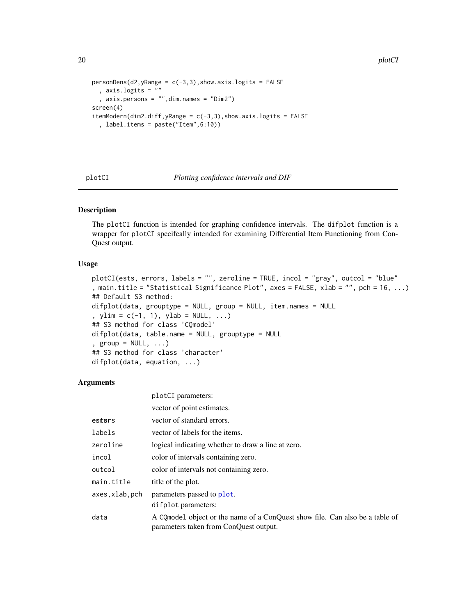```
personDens(d2, yRange = c(-3, 3), show.axis.logits = FALSE, axis.logits = ""
  , axis.persons = "",dim.names = "Dim2")
screen(4)
itemModern(dim2.diff, yRange = c(-3,3), show. axis. logits = FALSE, label.items = paste("Item",6:10))
```
plotCI parameters:

plotCI *Plotting confidence intervals and DIF*

#### Description

The plotCI function is intended for graphing confidence intervals. The difplot function is a wrapper for plotCI specifcally intended for examining Differential Item Functioning from Con-Quest output.

#### Usage

```
plotCI(ests, errors, labels = "", zeroline = TRUE, incol = "gray", outcol = "blue"
, main.title = "Statistical Significance Plot", axes = FALSE, xlab = "", pch = 16, ...)
## Default S3 method:
difplot(data, grouptype = NULL, group = NULL, item.names = NULL
, ylim = c(-1, 1), ylab = NULL, ...)
## S3 method for class 'CQmodel'
difplot(data, table.name = NULL, grouptype = NULL
, group = NULL, ...## S3 method for class 'character'
difplot(data, equation, ...)
```
#### Arguments

|               | vector of point estimates.                                                                                              |
|---------------|-------------------------------------------------------------------------------------------------------------------------|
| estors        | vector of standard errors.                                                                                              |
| labels        | vector of labels for the items.                                                                                         |
| zeroline      | logical indicating whether to draw a line at zero.                                                                      |
| incol         | color of intervals containing zero.                                                                                     |
| outcol        | color of intervals not containing zero.                                                                                 |
| main.title    | title of the plot.                                                                                                      |
| axes,xlab,pch | parameters passed to plot.                                                                                              |
|               | difplot parameters:                                                                                                     |
| data          | A CQ model object or the name of a ConQuest show file. Can also be a table of<br>parameters taken from ConQuest output. |

<span id="page-19-0"></span>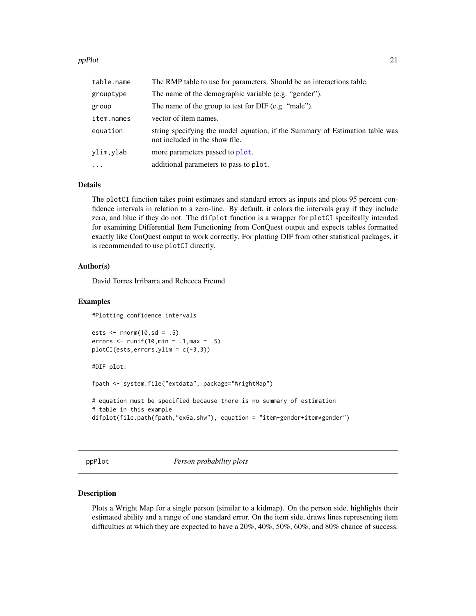#### <span id="page-20-0"></span>ppPlot 21

| table.name | The RMP table to use for parameters. Should be an interactions table.                                          |
|------------|----------------------------------------------------------------------------------------------------------------|
| grouptype  | The name of the demographic variable (e.g. "gender").                                                          |
| group      | The name of the group to test for DIF (e.g. "male").                                                           |
| item.names | vector of item names.                                                                                          |
| equation   | string specifying the model equation, if the Summary of Estimation table was<br>not included in the show file. |
| ylim, ylab | more parameters passed to plot.                                                                                |
| $\cdots$   | additional parameters to pass to plot.                                                                         |

#### Details

The plotCI function takes point estimates and standard errors as inputs and plots 95 percent confidence intervals in relation to a zero-line. By default, it colors the intervals gray if they include zero, and blue if they do not. The difplot function is a wrapper for plotCI specifcally intended for examining Differential Item Functioning from ConQuest output and expects tables formatted exactly like ConQuest output to work correctly. For plotting DIF from other statistical packages, it is recommended to use plotCI directly.

#### Author(s)

David Torres Irribarra and Rebecca Freund

#### Examples

#Plotting confidence intervals

```
ests \le rnorm(10,sd = .5)
errors \le runif(10, min = .1, max = .5)
plotCI(ests,errors,ylim = c(-3,3))
```
#DIF plot:

fpath <- system.file("extdata", package="WrightMap")

```
# equation must be specified because there is no summary of estimation
# table in this example
difplot(file.path(fpath,"ex6a.shw"), equation = "item-gender+item*gender")
```
<span id="page-20-2"></span>ppPlot *Person probability plots*

#### <span id="page-20-1"></span>Description

Plots a Wright Map for a single person (similar to a kidmap). On the person side, highlights their estimated ability and a range of one standard error. On the item side, draws lines representing item difficulties at which they are expected to have a 20%, 40%, 50%, 60%, and 80% chance of success.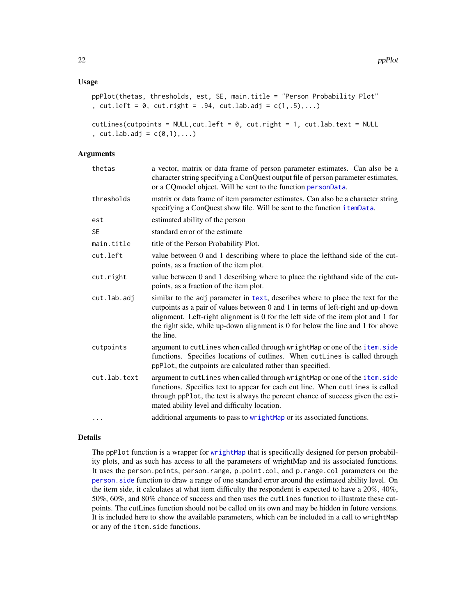#### <span id="page-21-0"></span>Usage

```
ppPlot(thetas, thresholds, est, SE, main.title = "Person Probability Plot"
, cut.left = 0, cut.right = .94, cutr adv = c(1, .5), ...
```

```
cutLines(cutpoints = NULL, cut.left = 0, cut.right = 1, cutut., cut.lab.add = c(0,1), ...
```
#### Arguments

| thetas       | a vector, matrix or data frame of person parameter estimates. Can also be a<br>character string specifying a ConQuest output file of person parameter estimates,<br>or a CQ model object. Will be sent to the function personData.                                                                                                                       |
|--------------|----------------------------------------------------------------------------------------------------------------------------------------------------------------------------------------------------------------------------------------------------------------------------------------------------------------------------------------------------------|
| thresholds   | matrix or data frame of item parameter estimates. Can also be a character string<br>specifying a ConQuest show file. Will be sent to the function itemData.                                                                                                                                                                                              |
| est          | estimated ability of the person                                                                                                                                                                                                                                                                                                                          |
| SE           | standard error of the estimate                                                                                                                                                                                                                                                                                                                           |
| main.title   | title of the Person Probability Plot.                                                                                                                                                                                                                                                                                                                    |
| cut.left     | value between 0 and 1 describing where to place the lefthand side of the cut-<br>points, as a fraction of the item plot.                                                                                                                                                                                                                                 |
| cut.right    | value between 0 and 1 describing where to place the righthand side of the cut-<br>points, as a fraction of the item plot.                                                                                                                                                                                                                                |
| cut.lab.adj  | similar to the adj parameter in text, describes where to place the text for the<br>cutpoints as a pair of values between 0 and 1 in terms of left-right and up-down<br>alignment. Left-right alignment is 0 for the left side of the item plot and 1 for<br>the right side, while up-down alignment is 0 for below the line and 1 for above<br>the line. |
| cutpoints    | argument to cutLines when called through wrightMap or one of the item.side<br>functions. Specifies locations of cutlines. When cutLines is called through<br>ppPlot, the cutpoints are calculated rather than specified.                                                                                                                                 |
| cut.lab.text | argument to cutLines when called through wrightMap or one of the item.side<br>functions. Specifies text to appear for each cut line. When cutLines is called<br>through ppPlot, the text is always the percent chance of success given the esti-<br>mated ability level and difficulty location.                                                         |
| .            | additional arguments to pass to wrightMap or its associated functions.                                                                                                                                                                                                                                                                                   |

#### Details

The ppPlot function is a wrapper for [wrightMap](#page-24-1) that is specifically designed for person probability plots, and as such has access to all the parameters of wrightMap and its associated functions. It uses the person.points, person.range, p.point.col, and p.range.col parameters on the [person.side](#page-16-1) function to draw a range of one standard error around the estimated ability level. On the item side, it calculates at what item difficulty the respondent is expected to have a 20%, 40%, 50%, 60%, and 80% chance of success and then uses the cutLines function to illustrate these cutpoints. The cutLines function should not be called on its own and may be hidden in future versions. It is included here to show the available parameters, which can be included in a call to wrightMap or any of the item.side functions.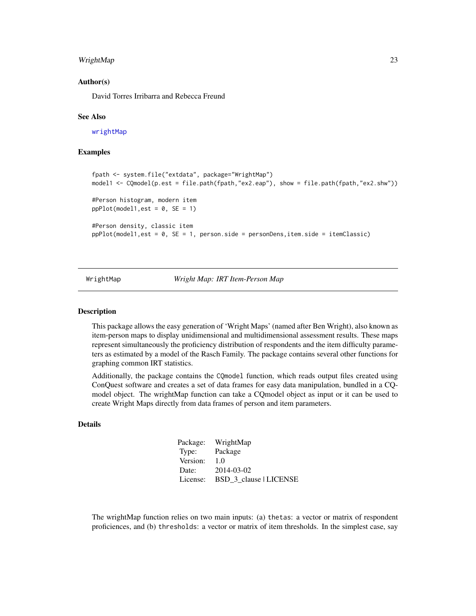#### <span id="page-22-0"></span>WrightMap 23

#### Author(s)

David Torres Irribarra and Rebecca Freund

#### See Also

[wrightMap](#page-24-1)

#### Examples

```
fpath <- system.file("extdata", package="WrightMap")
model1 <- CQmodel(p.est = file.path(fpath,"ex2.eap"), show = file.path(fpath,"ex2.shw"))
#Person histogram, modern item
ppPlot(model1, est = 0, SE = 1)#Person density, classic item
ppPlot(model1,est = 0, SE = 1, person.side = personDens,item.side = itemClassic)
```
WrightMap *Wright Map: IRT Item-Person Map*

#### Description

This package allows the easy generation of 'Wright Maps' (named after Ben Wright), also known as item-person maps to display unidimensional and multidimensional assessment results. These maps represent simultaneously the proficiency distribution of respondents and the item difficulty parameters as estimated by a model of the Rasch Family. The package contains several other functions for graphing common IRT statistics.

Additionally, the package contains the CQmodel function, which reads output files created using ConQuest software and creates a set of data frames for easy data manipulation, bundled in a CQmodel object. The wrightMap function can take a CQmodel object as input or it can be used to create Wright Maps directly from data frames of person and item parameters.

#### Details

| Package: | WrightMap              |
|----------|------------------------|
| Type:    | Package                |
| Version: | 1.0                    |
| Date:    | 2014-03-02             |
| License: | BSD 3 clause   LICENSE |

The wrightMap function relies on two main inputs: (a) thetas: a vector or matrix of respondent proficiences, and (b) thresholds: a vector or matrix of item thresholds. In the simplest case, say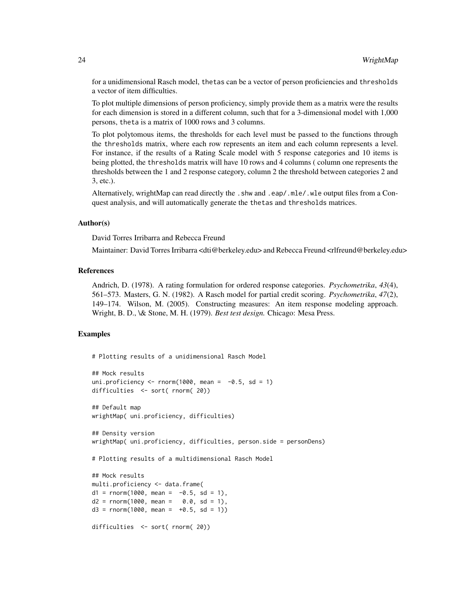for a unidimensional Rasch model, thetas can be a vector of person proficiencies and thresholds a vector of item difficulties.

To plot multiple dimensions of person proficiency, simply provide them as a matrix were the results for each dimension is stored in a different column, such that for a 3-dimensional model with 1,000 persons, theta is a matrix of 1000 rows and 3 columns.

To plot polytomous items, the thresholds for each level must be passed to the functions through the thresholds matrix, where each row represents an item and each column represents a level. For instance, if the results of a Rating Scale model with 5 response categories and 10 items is being plotted, the thresholds matrix will have 10 rows and 4 columns ( column one represents the thresholds between the 1 and 2 response category, column 2 the threshold between categories 2 and 3, etc.).

Alternatively, wrightMap can read directly the .shw and .eap/.mle/.wle output files from a Conquest analysis, and will automatically generate the thetas and thresholds matrices.

#### Author(s)

David Torres Irribarra and Rebecca Freund

Maintainer: David Torres Irribarra <dti@berkeley.edu> and Rebecca Freund <rlfreund@berkeley.edu>

#### References

Andrich, D. (1978). A rating formulation for ordered response categories. *Psychometrika*, *43*(4), 561–573. Masters, G. N. (1982). A Rasch model for partial credit scoring. *Psychometrika*, *47*(2), 149–174. Wilson, M. (2005). Constructing measures: An item response modeling approach. Wright, B. D., \& Stone, M. H. (1979). *Best test design.* Chicago: Mesa Press.

#### Examples

```
# Plotting results of a unidimensional Rasch Model
## Mock results
uni.proficiency \le rnorm(1000, mean = -0.5, sd = 1)
difficulties <- sort( rnorm( 20))
## Default map
wrightMap( uni.proficiency, difficulties)
## Density version
wrightMap( uni.proficiency, difficulties, person.side = personDens)
# Plotting results of a multidimensional Rasch Model
## Mock results
multi.proficiency <- data.frame(
d1 = rnorm(1000, mean = -0.5, sd = 1),d2 = rnorm(1000, mean = 0.0, sd = 1),d3 = rnorm(1000, mean = +0.5, sd = 1)difficulties <- sort( rnorm( 20))
```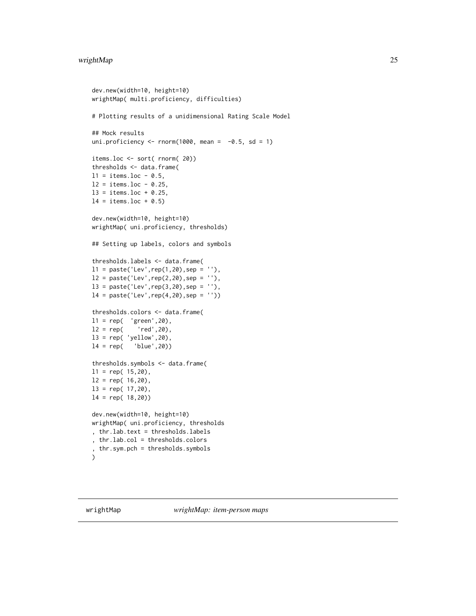#### <span id="page-24-0"></span>wrightMap 25

```
dev.new(width=10, height=10)
wrightMap( multi.proficiency, difficulties)
# Plotting results of a unidimensional Rating Scale Model
## Mock results
uni.proficiency \le rnorm(1000, mean = -0.5, sd = 1)
items.loc <- sort( rnorm( 20))
thresholds <- data.frame(
11 = items.loc - 0.5,
12 = items. loc - 0.25,
13 = items.loc + 0.25,
14 = items.loc + 0.5dev.new(width=10, height=10)
wrightMap( uni.proficiency, thresholds)
## Setting up labels, colors and symbols
thresholds.labels <- data.frame(
11 = paste('Lev', rep(1,20), sep = ''),12 = paste('Lev', rep(2,20),sep = ''),13 = paste('Lev', rep(3,20), sep = ''),l4 = paste('Lev',rep(4,20),sep = ''))
thresholds.colors <- data.frame(
l1 = rep( 'green',20),
12 = rep( 'red', 20),
l3 = rep( 'yellow',20),
l4 = rep( 'blue',20))
thresholds.symbols <- data.frame(
11 = rep(15,20),
12 = rep(16,20),13 = rep(17,20),
14 = rep(18,20)dev.new(width=10, height=10)
wrightMap( uni.proficiency, thresholds
, thr.lab.text = thresholds.labels
, thr.lab.col = thresholds.colors
, thr.sym.pch = thresholds.symbols
\lambda
```
<span id="page-24-1"></span>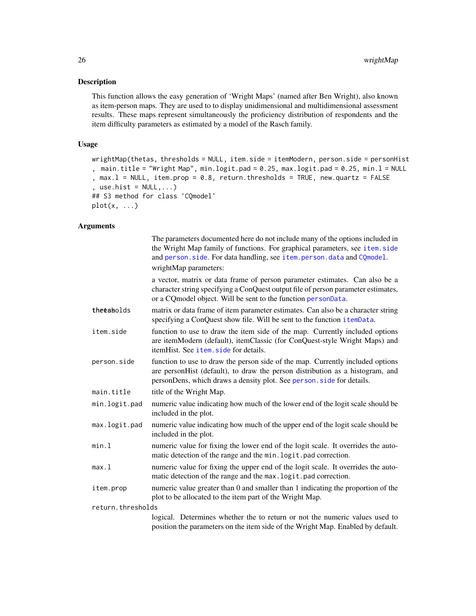#### <span id="page-25-0"></span>Description

This function allows the easy generation of 'Wright Maps' (named after Ben Wright), also known as item-person maps. They are used to to display unidimensional and multidimensional assessment results. These maps represent simultaneously the proficiency distribution of respondents and the item difficulty parameters as estimated by a model of the Rasch family.

#### Usage

```
wrightMap(thetas, thresholds = NULL, item.side = itemModern, person.side = personHist
, main.title = "Wright Map", min.logit.pad = 0.25, max.logit.pad = 0.25, min.l = NULL
, max.l = NULL, item.prop = 0.8, return.thresholds = TRUE, new.quartz = FALSE
, use.hist = NULL, \ldots)## S3 method for class 'CQmodel'
plot(x, \ldots)
```
#### Arguments

|                   | The parameters documented here do not include many of the options included in<br>the Wright Map family of functions. For graphical parameters, see item.side<br>and person.side. For data handling, see item.person.data and CQmodel.<br>wrightMap parameters: |  |
|-------------------|----------------------------------------------------------------------------------------------------------------------------------------------------------------------------------------------------------------------------------------------------------------|--|
|                   | a vector, matrix or data frame of person parameter estimates. Can also be a<br>character string specifying a ConQuest output file of person parameter estimates,<br>or a CQmodel object. Will be sent to the function personData.                              |  |
| theeabolds        | matrix or data frame of item parameter estimates. Can also be a character string<br>specifying a ConQuest show file. Will be sent to the function itemData.                                                                                                    |  |
| item.side         | function to use to draw the item side of the map. Currently included options<br>are itemModern (default), itemClassic (for ConQuest-style Wright Maps) and<br>itemHist. See <i>item.</i> side for details.                                                     |  |
| person.side       | function to use to draw the person side of the map. Currently included options<br>are personHist (default), to draw the person distribution as a histogram, and<br>personDens, which draws a density plot. See person. side for details.                       |  |
| main.title        | title of the Wright Map.                                                                                                                                                                                                                                       |  |
| min.logit.pad     | numeric value indicating how much of the lower end of the logit scale should be<br>included in the plot.                                                                                                                                                       |  |
| max.logit.pad     | numeric value indicating how much of the upper end of the logit scale should be<br>included in the plot.                                                                                                                                                       |  |
| min.l             | numeric value for fixing the lower end of the logit scale. It overrides the auto-<br>matic detection of the range and the min. logit.pad correction.                                                                                                           |  |
| max.l             | numeric value for fixing the upper end of the logit scale. It overrides the auto-<br>matic detection of the range and the max. logit. pad correction.                                                                                                          |  |
| item.prop         | numeric value greater than 0 and smaller than 1 indicating the proportion of the<br>plot to be allocated to the item part of the Wright Map.                                                                                                                   |  |
| return.thresholds |                                                                                                                                                                                                                                                                |  |
|                   | logical. Determines whether the to return or not the numeric values used to<br>position the parameters on the item side of the Wright Map. Enabled by default.                                                                                                 |  |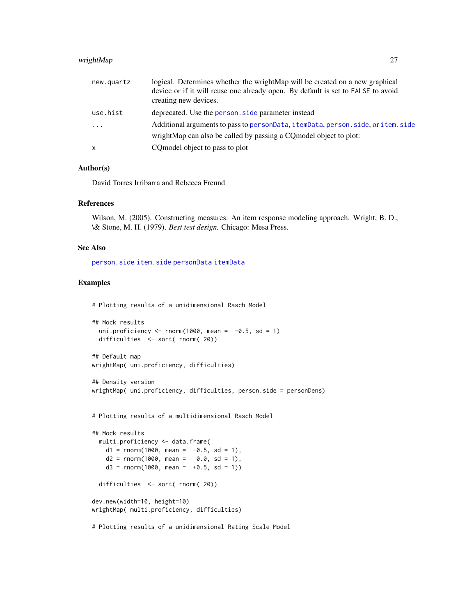#### <span id="page-26-0"></span>wrightMap 27

| new.quartz   | logical. Determines whether the wrightMap will be created on a new graphical<br>device or if it will reuse one already open. By default is set to FALSE to avoid<br>creating new devices. |
|--------------|-------------------------------------------------------------------------------------------------------------------------------------------------------------------------------------------|
| use.hist     | deprecated. Use the person, side parameter instead                                                                                                                                        |
| $\cdot$      | Additional arguments to pass to personData, itemData, person, side, or item, side                                                                                                         |
|              | wrightMap can also be called by passing a CQ model object to plot:                                                                                                                        |
| $\mathsf{x}$ | CQ model object to pass to plot                                                                                                                                                           |

#### Author(s)

David Torres Irribarra and Rebecca Freund

#### References

Wilson, M. (2005). Constructing measures: An item response modeling approach. Wright, B. D., \& Stone, M. H. (1979). *Best test design.* Chicago: Mesa Press.

#### See Also

[person.side](#page-16-1) [item.side](#page-8-1) [personData](#page-5-1) [itemData](#page-5-1)

#### Examples

```
# Plotting results of a unidimensional Rasch Model
```

```
## Mock results
 uni.proficiency \le rnorm(1000, mean = -0.5, sd = 1)
 difficulties <- sort( rnorm( 20))
```

```
## Default map
wrightMap( uni.proficiency, difficulties)
```

```
## Density version
wrightMap( uni.proficiency, difficulties, person.side = personDens)
```

```
# Plotting results of a multidimensional Rasch Model
```

```
## Mock results
 multi.proficiency <- data.frame(
   d1 = rnorm(1000, mean = -0.5, sd = 1),d2 = rnorm(1000, mean = 0.0, sd = 1),d3 = rnorm(1000, mean = +0.5, sd = 1)difficulties <- sort( rnorm( 20))
dev.new(width=10, height=10)
wrightMap( multi.proficiency, difficulties)
```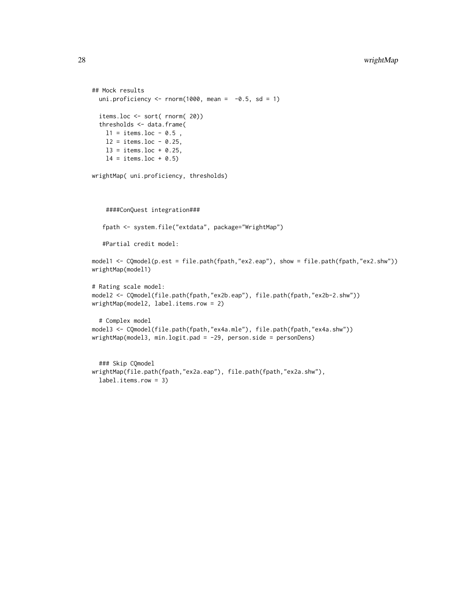```
## Mock results
  uni.proficiency \le rnorm(1000, mean = -0.5, sd = 1)
  items.loc <- sort( rnorm( 20))
  thresholds <- data.frame(
   11 = items.loc - 0.5,
   12 = items.loc - 0.25,
   13 = items.loc + 0.25,
   14 = items.loc + 0.5)
wrightMap( uni.proficiency, thresholds)
    ####ConQuest integration###
   fpath <- system.file("extdata", package="WrightMap")
   #Partial credit model:
model1 <- CQmodel(p.est = file.path(fpath,"ex2.eap"), show = file.path(fpath,"ex2.shw"))
wrightMap(model1)
# Rating scale model:
model2 <- CQmodel(file.path(fpath,"ex2b.eap"), file.path(fpath,"ex2b-2.shw"))
wrightMap(model2, label.items.row = 2)
  # Complex model
model3 <- CQmodel(file.path(fpath,"ex4a.mle"), file.path(fpath,"ex4a.shw"))
wrightMap(model3, min.logit.pad = -29, person.side = personDens)
  ### Skip CQmodel
wrightMap(file.path(fpath,"ex2a.eap"), file.path(fpath,"ex2a.shw"),
```
label.items.row = 3)